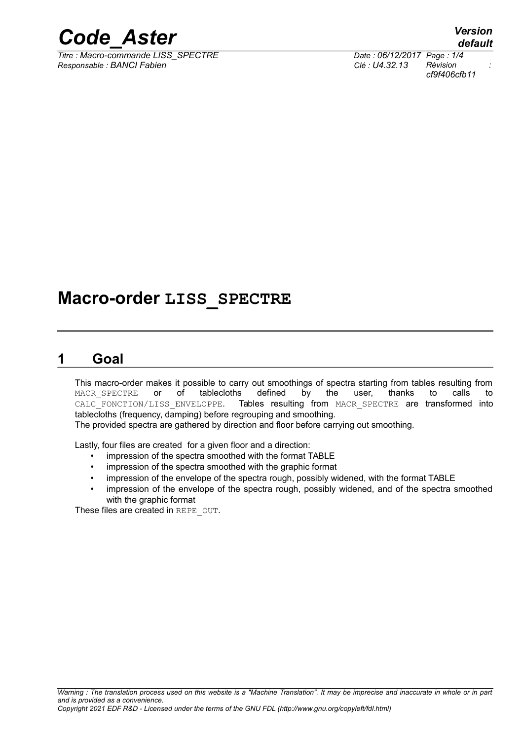

*Titre : Macro-commande LISS\_SPECTRE Date : 06/12/2017 Page : 1/4 Responsable : BANCI Fabien Clé : U4.32.13 Révision :*

*cf9f406cfb11*

# **Macro-order LISS\_SPECTRE**

# **1 Goal**

This macro-order makes it possible to carry out smoothings of spectra starting from tables resulting from MACR SPECTRE or of tablecloths defined by the user, thanks to calls to MACR\_SPECTRE or of tablecloths defined by the user, thanks to calls to calls to calls to calle the metal of the user, thanks to calls to Tables resulting from MACR SPECTRE are transformed into tablecloths (frequency, damping) before regrouping and smoothing.

The provided spectra are gathered by direction and floor before carrying out smoothing.

Lastly, four files are created for a given floor and a direction:

- impression of the spectra smoothed with the format TABLE
- impression of the spectra smoothed with the graphic format
- impression of the envelope of the spectra rough, possibly widened, with the format TABLE
- impression of the envelope of the spectra rough, possibly widened, and of the spectra smoothed with the graphic format

These files are created in REPE\_OUT.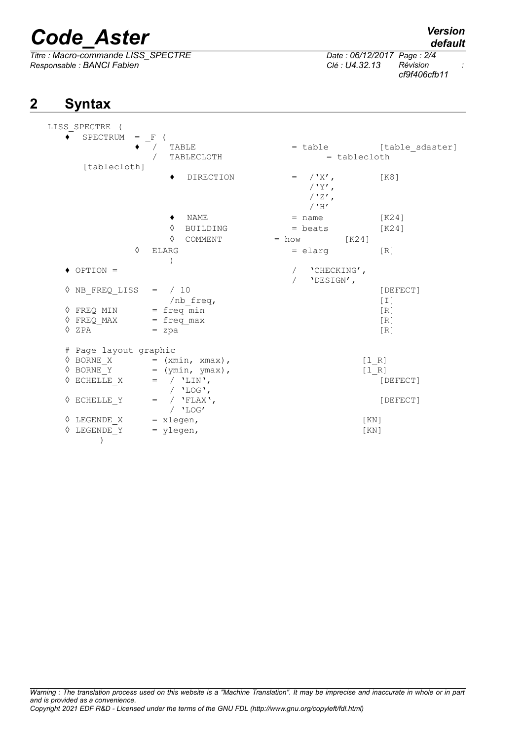# *Code\_Aster Version*

*Titre : Macro-commande LISS\_SPECTRE Date : 06/12/2017 Page : 2/4 Responsable : BANCI Fabien Clé : U4.32.13 Révision :*

# **2 Syntax**

*cf9f406cfb11*

| LISS SPECTRE (                                                                     |                                                                                                                                                   |                           |                         |
|------------------------------------------------------------------------------------|---------------------------------------------------------------------------------------------------------------------------------------------------|---------------------------|-------------------------|
| SPECTRUM = F                                                                       |                                                                                                                                                   |                           |                         |
|                                                                                    | TABLE                                                                                                                                             |                           | = table [table sdaster] |
|                                                                                    | TABLECLOTH                                                                                                                                        | $=$ tablecloth            |                         |
| [tablecloth]                                                                       |                                                                                                                                                   |                           |                         |
|                                                                                    | DIRECTION                                                                                                                                         | $=$ $/\gamma$ $\times'$ , | [K8]                    |
|                                                                                    |                                                                                                                                                   | / $Y'$ ,                  |                         |
|                                                                                    |                                                                                                                                                   | / $'Z'$ ,                 |                         |
|                                                                                    |                                                                                                                                                   | $/$ 'H'                   |                         |
|                                                                                    | $\blacklozenge$ NAME                                                                                                                              | $=$ name                  | [K24]                   |
|                                                                                    | $\Diamond$ BUILDING                                                                                                                               | $=$ beats                 | [K24]                   |
|                                                                                    | $\Diamond$ COMMENT                                                                                                                                | $= how$ [K24]             |                         |
| ♦                                                                                  | <b>ELARG</b>                                                                                                                                      | $=$ elarg                 | $\lceil R \rceil$       |
|                                                                                    |                                                                                                                                                   |                           |                         |
| $\blacklozenge$ OPTION =                                                           |                                                                                                                                                   | 'CHECKING',               |                         |
|                                                                                    |                                                                                                                                                   | 'DESIGN',                 |                         |
| $\sqrt{NB}$ FREQ LISS = / 10                                                       |                                                                                                                                                   |                           | [DEFECT]                |
|                                                                                    | /nb freq,                                                                                                                                         |                           | $[1]$                   |
|                                                                                    |                                                                                                                                                   |                           | [R]                     |
| $\sqrt[3]{ \text{FREQ}}$ MIN = freq min<br>$\sqrt[3]{ \text{FREQ}}$ MAX = freq max |                                                                                                                                                   |                           | [R]                     |
| $\Diamond$ ZPA                                                                     | = zpa                                                                                                                                             |                           | [R]                     |
|                                                                                    |                                                                                                                                                   |                           |                         |
| # Page layout graphic                                                              |                                                                                                                                                   |                           |                         |
|                                                                                    | $\Diamond$ BORNE_X = (xmin, xmax),                                                                                                                |                           | [1 R]                   |
|                                                                                    |                                                                                                                                                   |                           | $[1 R]$                 |
|                                                                                    | $\begin{array}{lll}\n\Diamond \text{ BORNE}_{\bot}^{\top} & = & (\text{ymin, ymax}), \\ \Diamond \text{ ECHELLE}_X & = & / \ 'LIN',\n\end{array}$ |                           | [DEFECT]                |
|                                                                                    | / $'$ LOG $'$ ,                                                                                                                                   |                           |                         |
| $\Diamond$ ECHELLE Y                                                               | $=$ / $'FLAX'$ ,                                                                                                                                  |                           | [DEFECT]                |
|                                                                                    | $/$ 'LOG'                                                                                                                                         |                           |                         |
| $\Diamond$ LEGENDE <sub>X</sub> = xlegen,                                          |                                                                                                                                                   | [KN]                      |                         |
| $\Diamond$ LEGENDE Y = ylegen,                                                     |                                                                                                                                                   |                           | KN                      |
| $\lambda$                                                                          |                                                                                                                                                   |                           |                         |
|                                                                                    |                                                                                                                                                   |                           |                         |

*Warning : The translation process used on this website is a "Machine Translation". It may be imprecise and inaccurate in whole or in part and is provided as a convenience. Copyright 2021 EDF R&D - Licensed under the terms of the GNU FDL (http://www.gnu.org/copyleft/fdl.html)*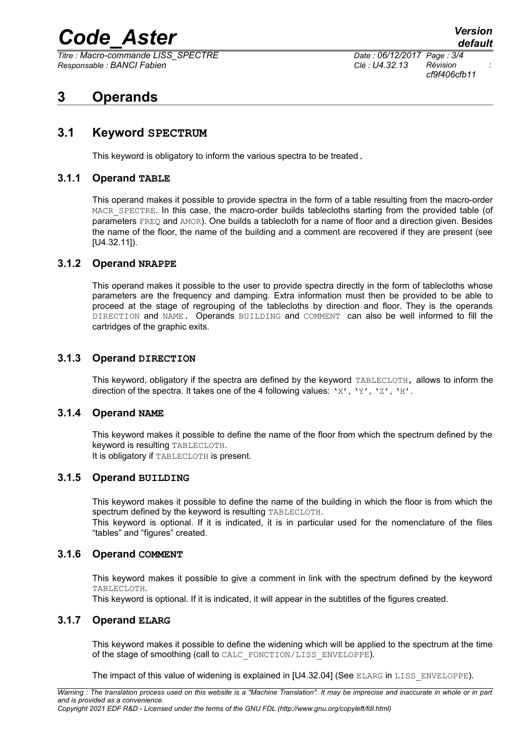# *Code\_Aster Version*

*Titre : Macro-commande LISS\_SPECTRE Date : 06/12/2017 Page : 3/4 Responsable : BANCI Fabien Clé : U4.32.13 Révision :*

*cf9f406cfb11*

# **3 Operands**

## **3.1 Keyword SPECTRUM**

This keyword is obligatory to inform the various spectra to be treated.

#### **3.1.1 Operand TABLE**

This operand makes it possible to provide spectra in the form of a table resulting from the macro-order MACR SPECTRE. In this case, the macro-order builds tablecloths starting from the provided table (of parameters FREQ and AMOR). One builds a tablecloth for a name of floor and a direction given. Besides the name of the floor, the name of the building and a comment are recovered if they are present (see [U4.32.11]).

#### **3.1.2 Operand NRAPPE**

This operand makes it possible to the user to provide spectra directly in the form of tablecloths whose parameters are the frequency and damping. Extra information must then be provided to be able to proceed at the stage of regrouping of the tablecloths by direction and floor. They is the operands DIRECTION and NAME. Operands BUILDING and COMMENT can also be well informed to fill the cartridges of the graphic exits.

#### **3.1.3 Operand DIRECTION**

This keyword, obligatory if the spectra are defined by the keyword TABLECLOTH, allows to inform the direction of the spectra. It takes one of the 4 following values: ' $X'$ , ' $Y'$ , ' $Z'$ , 'H'.

#### **3.1.4 Operand NAME**

This keyword makes it possible to define the name of the floor from which the spectrum defined by the keyword is resulting TABLECLOTH. It is obligatory if TABLECLOTH is present.

#### **3.1.5 Operand BUILDING**

This keyword makes it possible to define the name of the building in which the floor is from which the spectrum defined by the keyword is resulting TABLECLOTH.

This keyword is optional. If it is indicated, it is in particular used for the nomenclature of the files "tables" and "figures" created.

#### **3.1.6 Operand COMMENT**

This keyword makes it possible to give a comment in link with the spectrum defined by the keyword TABLECLOTH.

This keyword is optional. If it is indicated, it will appear in the subtitles of the figures created.

#### **3.1.7 Operand ELARG**

This keyword makes it possible to define the widening which will be applied to the spectrum at the time of the stage of smoothing (call to CALC\_FONCTION/LISS\_ENVELOPPE).

The impact of this value of widening is explained in [U4.32.04] (See ELARG in LISS ENVELOPPE).